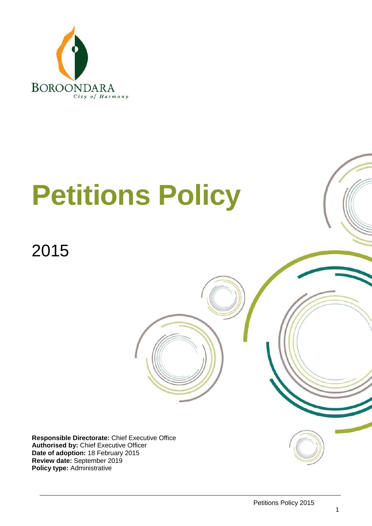

# **Petitions Policy**

# 2015

**Responsible Directorate:** Chief Executive Office **Authorised by:** Chief Executive Officer **Date of adoption:** 18 February 2015 **Review date:** September 2019 **Policy type:** Administrative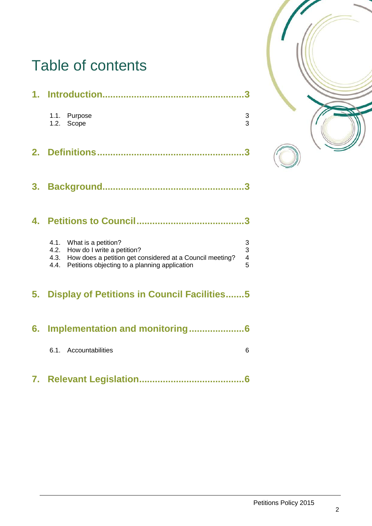# Table of contents

|    | 1.1. Purpose<br>1.2. Scope                                                                                                                                                         | $\frac{3}{3}$                                   |
|----|------------------------------------------------------------------------------------------------------------------------------------------------------------------------------------|-------------------------------------------------|
| 2. |                                                                                                                                                                                    |                                                 |
| 3. |                                                                                                                                                                                    | 3                                               |
| 4. |                                                                                                                                                                                    |                                                 |
|    | 4.1. What is a petition?<br>4.2. How do I write a petition?<br>4.3. How does a petition get considered at a Council meeting?<br>4.4. Petitions objecting to a planning application | $\begin{array}{c} 3 \\ 3 \\ 4 \end{array}$<br>5 |
|    | 5. Display of Petitions in Council Facilities5                                                                                                                                     |                                                 |
| 6. | Implementation and monitoring6                                                                                                                                                     |                                                 |

6.1. Accountabilities 6

**7. Relevant Legislation........................................6**

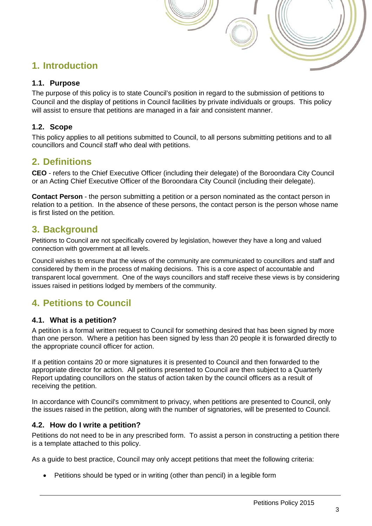# **1. Introduction**

#### **1.1. Purpose**

The purpose of this policy is to state Council's position in regard to the submission of petitions to Council and the display of petitions in Council facilities by private individuals or groups. This policy will assist to ensure that petitions are managed in a fair and consistent manner.

#### **1.2. Scope**

This policy applies to all petitions submitted to Council, to all persons submitting petitions and to all councillors and Council staff who deal with petitions.

## **2. Definitions**

**CEO** - refers to the Chief Executive Officer (including their delegate) of the Boroondara City Council or an Acting Chief Executive Officer of the Boroondara City Council (including their delegate).

**Contact Person** - the person submitting a petition or a person nominated as the contact person in relation to a petition. In the absence of these persons, the contact person is the person whose name is first listed on the petition.

### **3. Background**

Petitions to Council are not specifically covered by legislation, however they have a long and valued connection with government at all levels.

Council wishes to ensure that the views of the community are communicated to councillors and staff and considered by them in the process of making decisions. This is a core aspect of accountable and transparent local government. One of the ways councillors and staff receive these views is by considering issues raised in petitions lodged by members of the community.

# **4. Petitions to Council**

#### **4.1. What is a petition?**

A petition is a formal written request to Council for something desired that has been signed by more than one person. Where a petition has been signed by less than 20 people it is forwarded directly to the appropriate council officer for action.

If a petition contains 20 or more signatures it is presented to Council and then forwarded to the appropriate director for action. All petitions presented to Council are then subject to a Quarterly Report updating councillors on the status of action taken by the council officers as a result of receiving the petition.

In accordance with Council's commitment to privacy, when petitions are presented to Council, only the issues raised in the petition, along with the number of signatories, will be presented to Council.

#### **4.2. How do I write a petition?**

Petitions do not need to be in any prescribed form. To assist a person in constructing a petition there is a template attached to this policy.

As a guide to best practice, Council may only accept petitions that meet the following criteria:

• Petitions should be typed or in writing (other than pencil) in a legible form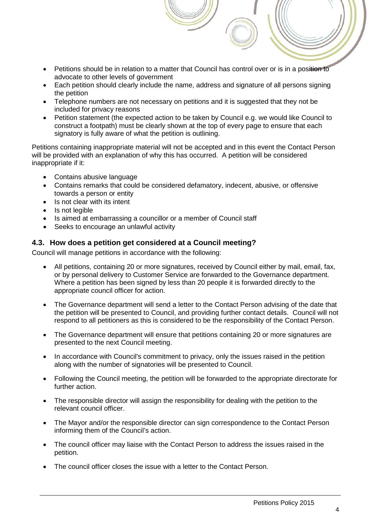- Petitions should be in relation to a matter that Council has control over or is in a position to advocate to other levels of government
- Each petition should clearly include the name, address and signature of all persons signing the petition
- Telephone numbers are not necessary on petitions and it is suggested that they not be included for privacy reasons
- Petition statement (the expected action to be taken by Council e.g. we would like Council to construct a footpath) must be clearly shown at the top of every page to ensure that each signatory is fully aware of what the petition is outlining.

Petitions containing inappropriate material will not be accepted and in this event the Contact Person will be provided with an explanation of why this has occurred. A petition will be considered inappropriate if it:

- Contains abusive language
- Contains remarks that could be considered defamatory, indecent, abusive, or offensive towards a person or entity
- Is not clear with its intent
- Is not legible
- Is aimed at embarrassing a councillor or a member of Council staff
- Seeks to encourage an unlawful activity

#### **4.3. How does a petition get considered at a Council meeting?**

Council will manage petitions in accordance with the following:

- All petitions, containing 20 or more signatures, received by Council either by mail, email, fax, or by personal delivery to Customer Service are forwarded to the Governance department. Where a petition has been signed by less than 20 people it is forwarded directly to the appropriate council officer for action.
- The Governance department will send a letter to the Contact Person advising of the date that the petition will be presented to Council, and providing further contact details. Council will not respond to all petitioners as this is considered to be the responsibility of the Contact Person.
- The Governance department will ensure that petitions containing 20 or more signatures are presented to the next Council meeting.
- In accordance with Council's commitment to privacy, only the issues raised in the petition along with the number of signatories will be presented to Council.
- Following the Council meeting, the petition will be forwarded to the appropriate directorate for further action.
- The responsible director will assign the responsibility for dealing with the petition to the relevant council officer.
- The Mayor and/or the responsible director can sign correspondence to the Contact Person informing them of the Council's action.
- The council officer may liaise with the Contact Person to address the issues raised in the petition.
- The council officer closes the issue with a letter to the Contact Person.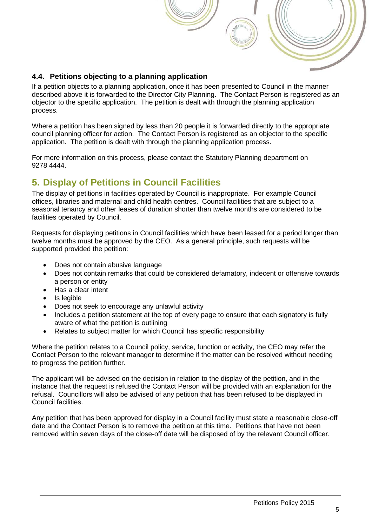#### **4.4. Petitions objecting to a planning application**

If a petition objects to a planning application, once it has been presented to Council in the manner described above it is forwarded to the Director City Planning. The Contact Person is registered as an objector to the specific application. The petition is dealt with through the planning application process.

Where a petition has been signed by less than 20 people it is forwarded directly to the appropriate council planning officer for action. The Contact Person is registered as an objector to the specific application. The petition is dealt with through the planning application process.

For more information on this process, please contact the Statutory Planning department on 9278 4444.

# **5. Display of Petitions in Council Facilities**

The display of petitions in facilities operated by Council is inappropriate. For example Council offices, libraries and maternal and child health centres. Council facilities that are subject to a seasonal tenancy and other leases of duration shorter than twelve months are considered to be facilities operated by Council.

Requests for displaying petitions in Council facilities which have been leased for a period longer than twelve months must be approved by the CEO. As a general principle, such requests will be supported provided the petition:

- Does not contain abusive language
- Does not contain remarks that could be considered defamatory, indecent or offensive towards a person or entity
- Has a clear intent
- Is legible
- Does not seek to encourage any unlawful activity
- Includes a petition statement at the top of every page to ensure that each signatory is fully aware of what the petition is outlining
- Relates to subject matter for which Council has specific responsibility

Where the petition relates to a Council policy, service, function or activity, the CEO may refer the Contact Person to the relevant manager to determine if the matter can be resolved without needing to progress the petition further.

The applicant will be advised on the decision in relation to the display of the petition, and in the instance that the request is refused the Contact Person will be provided with an explanation for the refusal. Councillors will also be advised of any petition that has been refused to be displayed in Council facilities.

Any petition that has been approved for display in a Council facility must state a reasonable close-off date and the Contact Person is to remove the petition at this time. Petitions that have not been removed within seven days of the close-off date will be disposed of by the relevant Council officer.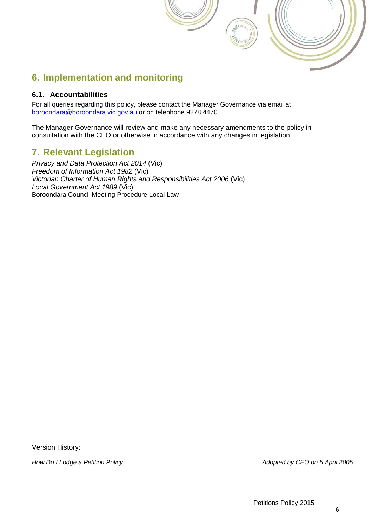# **6. Implementation and monitoring**

#### **6.1. Accountabilities**

For all queries regarding this policy, please contact the Manager Governance via email at [boroondara@boroondara.vic.gov.au](mailto:boroondara@boroondara.vic.gov.au) or on telephone 9278 4470.

The Manager Governance will review and make any necessary amendments to the policy in consultation with the CEO or otherwise in accordance with any changes in legislation.

## **7. Relevant Legislation**

*Privacy and Data Protection Act 2014* (Vic) *Freedom of Information Act 1982* (Vic) *Victorian Charter of Human Rights and Responsibilities Act 2006* (Vic) *Local Government Act 1989* (Vic) Boroondara Council Meeting Procedure Local Law

Version History:

*How Do I Lodge a Petition Policy Adopted by CEO on 5 April 2005*